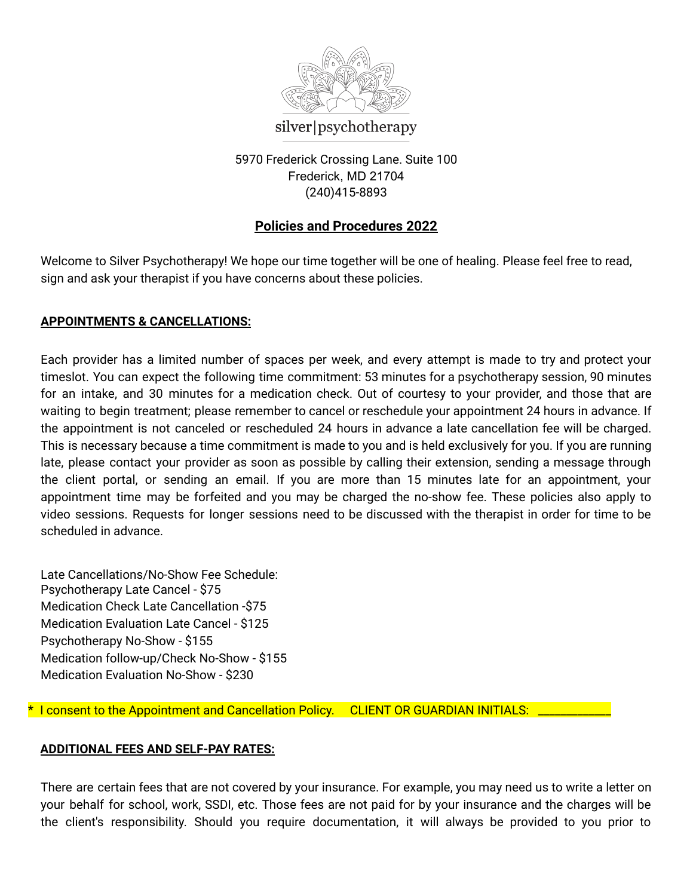

5970 Frederick Crossing Lane. Suite 100 Frederick, MD 21704

(240)415-8893

# **Policies and Procedures 2022**

Welcome to Silver Psychotherapy! We hope our time together will be one of healing. Please feel free to read, sign and ask your therapist if you have concerns about these policies.

## **APPOINTMENTS & CANCELLATIONS:**

Each provider has a limited number of spaces per week, and every attempt is made to try and protect your timeslot. You can expect the following time commitment: 53 minutes for a psychotherapy session, 90 minutes for an intake, and 30 minutes for a medication check. Out of courtesy to your provider, and those that are waiting to begin treatment; please remember to cancel or reschedule your appointment 24 hours in advance. If the appointment is not canceled or rescheduled 24 hours in advance a late cancellation fee will be charged. This is necessary because a time commitment is made to you and is held exclusively for you. If you are running late, please contact your provider as soon as possible by calling their extension, sending a message through the client portal, or sending an email. If you are more than 15 minutes late for an appointment, your appointment time may be forfeited and you may be charged the no-show fee. These policies also apply to video sessions. Requests for longer sessions need to be discussed with the therapist in order for time to be scheduled in advance.

Late Cancellations/No-Show Fee Schedule: Psychotherapy Late Cancel - \$75 Medication Check Late Cancellation -\$75 Medication Evaluation Late Cancel - \$125 Psychotherapy No-Show - \$155 Medication follow-up/Check No-Show - \$155 Medication Evaluation No-Show - \$230

\* I consent to the Appointment and Cancellation Policy. CLIENT OR GUARDIAN INITIALS: \_\_\_\_\_\_\_\_\_\_\_\_\_

## **ADDITIONAL FEES AND SELF-PAY RATES:**

There are certain fees that are not covered by your insurance. For example, you may need us to write a letter on your behalf for school, work, SSDI, etc. Those fees are not paid for by your insurance and the charges will be the client's responsibility. Should you require documentation, it will always be provided to you prior to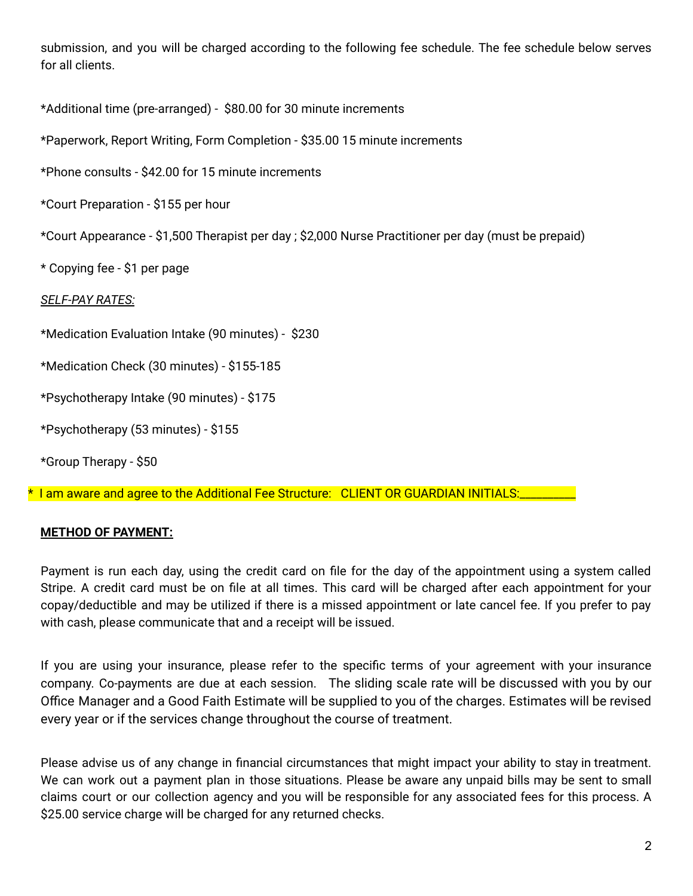submission, and you will be charged according to the following fee schedule. The fee schedule below serves for all clients.

\*Additional time (pre-arranged) - \$80.00 for 30 minute increments

\*Paperwork, Report Writing, Form Completion - \$35.00 15 minute increments

\*Phone consults - \$42.00 for 15 minute increments

\*Court Preparation - \$155 per hour

\*Court Appearance - \$1,500 Therapist per day ; \$2,000 Nurse Practitioner per day (must be prepaid)

\* Copying fee - \$1 per page

*SELF-PAY RATES:*

\*Medication Evaluation Intake (90 minutes) - \$230

\*Medication Check (30 minutes) - \$155-185

\*Psychotherapy Intake (90 minutes) - \$175

\*Psychotherapy (53 minutes) - \$155

\*Group Therapy - \$50

\* I am aware and agree to the Additional Fee Structure: CLIENT OR GUARDIAN INITIALS:

## **METHOD OF PAYMENT:**

Payment is run each day, using the credit card on file for the day of the appointment using a system called Stripe. A credit card must be on file at all times. This card will be charged after each appointment for your copay/deductible and may be utilized if there is a missed appointment or late cancel fee. If you prefer to pay with cash, please communicate that and a receipt will be issued.

If you are using your insurance, please refer to the specific terms of your agreement with your insurance company. Co-payments are due at each session. The sliding scale rate will be discussed with you by our Office Manager and a Good Faith Estimate will be supplied to you of the charges. Estimates will be revised every year or if the services change throughout the course of treatment.

Please advise us of any change in financial circumstances that might impact your ability to stay in treatment. We can work out a payment plan in those situations. Please be aware any unpaid bills may be sent to small claims court or our collection agency and you will be responsible for any associated fees for this process. A \$25.00 service charge will be charged for any returned checks.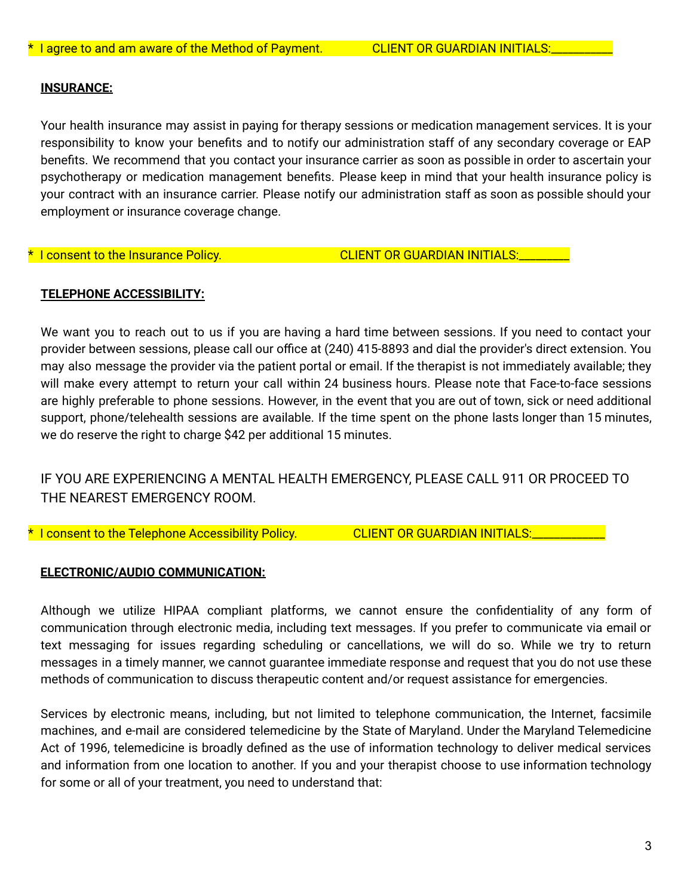#### **INSURANCE:**

Your health insurance may assist in paying for therapy sessions or medication management services. It is your responsibility to know your benefits and to notify our administration staff of any secondary coverage or EAP benefits. We recommend that you contact your insurance carrier as soon as possible in order to ascertain your psychotherapy or medication management benefits. Please keep in mind that your health insurance policy is your contract with an insurance carrier. Please notify our administration staff as soon as possible should your employment or insurance coverage change.

\* I consent to the Insurance Policy. The CLIENT OR GUARDIAN INITIALS:

## **TELEPHONE ACCESSIBILITY:**

We want you to reach out to us if you are having a hard time between sessions. If you need to contact your provider between sessions, please call our office at (240) 415-8893 and dial the provider's direct extension. You may also message the provider via the patient portal or email. If the therapist is not immediately available; they will make every attempt to return your call within 24 business hours. Please note that Face-to-face sessions are highly preferable to phone sessions. However, in the event that you are out of town, sick or need additional support, phone/telehealth sessions are available. If the time spent on the phone lasts longer than 15 minutes, we do reserve the right to charge \$42 per additional 15 minutes.

## IF YOU ARE EXPERIENCING A MENTAL HEALTH EMERGENCY, PLEASE CALL 911 OR PROCEED TO THE NEAREST EMERGENCY ROOM.

\* I consent to the Telephone Accessibility Policy. CLIENT OR GUARDIAN INITIALS:

## **ELECTRONIC/AUDIO COMMUNICATION:**

Although we utilize HIPAA compliant platforms, we cannot ensure the confidentiality of any form of communication through electronic media, including text messages. If you prefer to communicate via email or text messaging for issues regarding scheduling or cancellations, we will do so. While we try to return messages in a timely manner, we cannot guarantee immediate response and request that you do not use these methods of communication to discuss therapeutic content and/or request assistance for emergencies.

Services by electronic means, including, but not limited to telephone communication, the Internet, facsimile machines, and e-mail are considered telemedicine by the State of Maryland. Under the Maryland Telemedicine Act of 1996, telemedicine is broadly defined as the use of information technology to deliver medical services and information from one location to another. If you and your therapist choose to use information technology for some or all of your treatment, you need to understand that: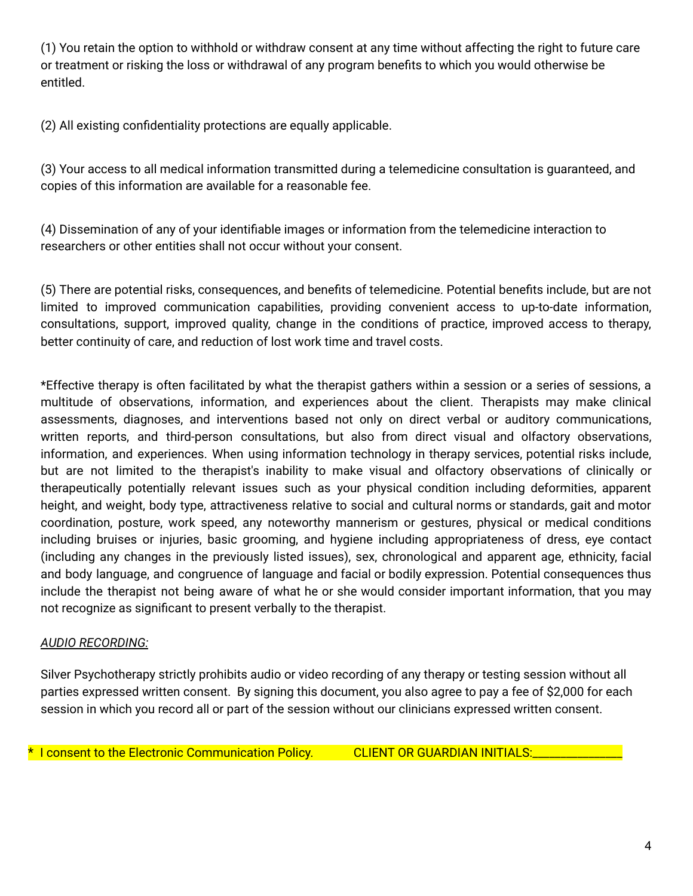(1) You retain the option to withhold or withdraw consent at any time without affecting the right to future care or treatment or risking the loss or withdrawal of any program benefits to which you would otherwise be entitled.

(2) All existing confidentiality protections are equally applicable.

(3) Your access to all medical information transmitted during a telemedicine consultation is guaranteed, and copies of this information are available for a reasonable fee.

(4) Dissemination of any of your identifiable images or information from the telemedicine interaction to researchers or other entities shall not occur without your consent.

(5) There are potential risks, consequences, and benefits of telemedicine. Potential benefits include, but are not limited to improved communication capabilities, providing convenient access to up-to-date information, consultations, support, improved quality, change in the conditions of practice, improved access to therapy, better continuity of care, and reduction of lost work time and travel costs.

\*Effective therapy is often facilitated by what the therapist gathers within a session or a series of sessions, a multitude of observations, information, and experiences about the client. Therapists may make clinical assessments, diagnoses, and interventions based not only on direct verbal or auditory communications, written reports, and third-person consultations, but also from direct visual and olfactory observations, information, and experiences. When using information technology in therapy services, potential risks include, but are not limited to the therapist's inability to make visual and olfactory observations of clinically or therapeutically potentially relevant issues such as your physical condition including deformities, apparent height, and weight, body type, attractiveness relative to social and cultural norms or standards, gait and motor coordination, posture, work speed, any noteworthy mannerism or gestures, physical or medical conditions including bruises or injuries, basic grooming, and hygiene including appropriateness of dress, eye contact (including any changes in the previously listed issues), sex, chronological and apparent age, ethnicity, facial and body language, and congruence of language and facial or bodily expression. Potential consequences thus include the therapist not being aware of what he or she would consider important information, that you may not recognize as significant to present verbally to the therapist.

## *AUDIO RECORDING:*

Silver Psychotherapy strictly prohibits audio or video recording of any therapy or testing session without all parties expressed written consent. By signing this document, you also agree to pay a fee of \$2,000 for each session in which you record all or part of the session without our clinicians expressed written consent.

\* I consent to the Electronic Communication Policy. CLIENT OR GUARDIAN INITIALS: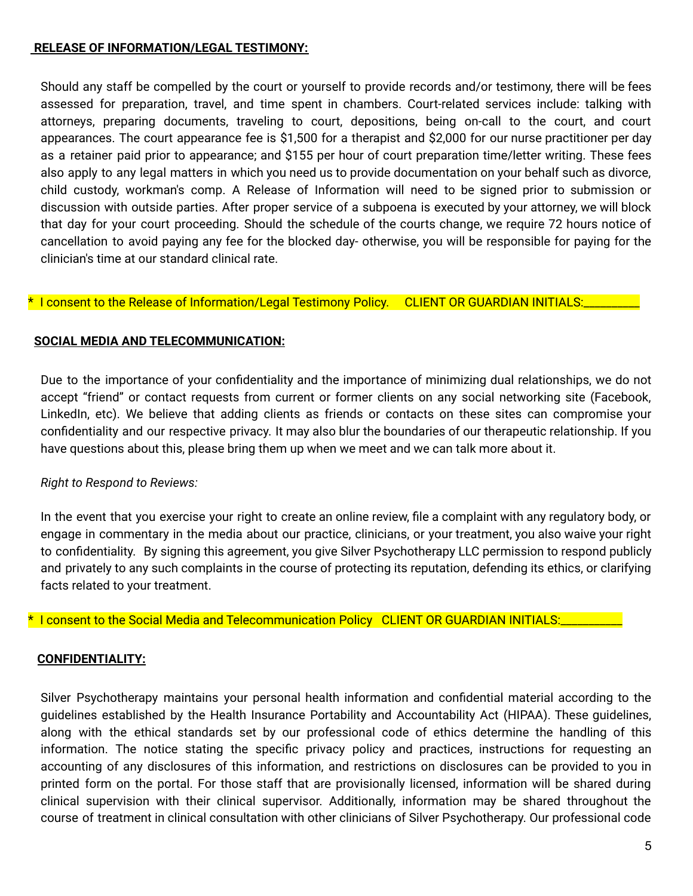#### **RELEASE OF INFORMATION/LEGAL TESTIMONY:**

Should any staff be compelled by the court or yourself to provide records and/or testimony, there will be fees assessed for preparation, travel, and time spent in chambers. Court-related services include: talking with attorneys, preparing documents, traveling to court, depositions, being on-call to the court, and court appearances. The court appearance fee is \$1,500 for a therapist and \$2,000 for our nurse practitioner per day as a retainer paid prior to appearance; and \$155 per hour of court preparation time/letter writing. These fees also apply to any legal matters in which you need us to provide documentation on your behalf such as divorce, child custody, workman's comp. A Release of Information will need to be signed prior to submission or discussion with outside parties. After proper service of a subpoena is executed by your attorney, we will block that day for your court proceeding. Should the schedule of the courts change, we require 72 hours notice of cancellation to avoid paying any fee for the blocked day- otherwise, you will be responsible for paying for the clinician's time at our standard clinical rate.

#### \* I consent to the Release of Information/Legal Testimony Policy. CLIENT OR GUARDIAN INITIALS:

## **SOCIAL MEDIA AND TELECOMMUNICATION:**

Due to the importance of your confidentiality and the importance of minimizing dual relationships, we do not accept "friend" or contact requests from current or former clients on any social networking site (Facebook, LinkedIn, etc). We believe that adding clients as friends or contacts on these sites can compromise your confidentiality and our respective privacy. It may also blur the boundaries of our therapeutic relationship. If you have questions about this, please bring them up when we meet and we can talk more about it.

## *Right to Respond to Reviews:*

In the event that you exercise your right to create an online review, file a complaint with any regulatory body, or engage in commentary in the media about our practice, clinicians, or your treatment, you also waive your right to confidentiality. By signing this agreement, you give Silver Psychotherapy LLC permission to respond publicly and privately to any such complaints in the course of protecting its reputation, defending its ethics, or clarifying facts related to your treatment.

\* I consent to the Social Media and Telecommunication Policy CLIENT OR GUARDIAN INITIALS:\_\_\_\_\_\_\_\_\_\_\_

## **CONFIDENTIALITY:**

Silver Psychotherapy maintains your personal health information and confidential material according to the guidelines established by the Health Insurance Portability and Accountability Act (HIPAA). These guidelines, along with the ethical standards set by our professional code of ethics determine the handling of this information. The notice stating the specific privacy policy and practices, instructions for requesting an accounting of any disclosures of this information, and restrictions on disclosures can be provided to you in printed form on the portal. For those staff that are provisionally licensed, information will be shared during clinical supervision with their clinical supervisor. Additionally, information may be shared throughout the course of treatment in clinical consultation with other clinicians of Silver Psychotherapy. Our professional code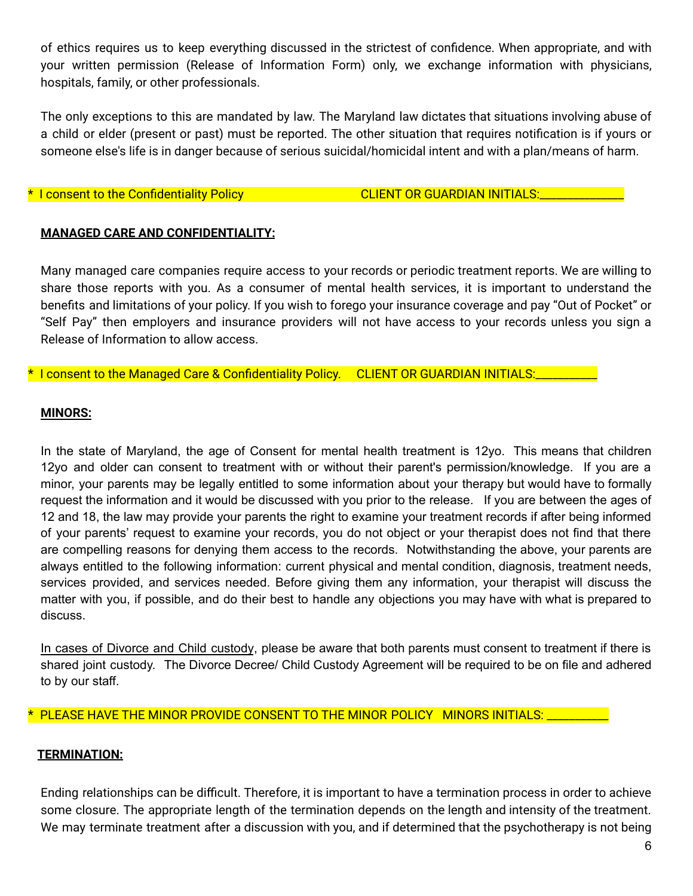of ethics requires us to keep everything discussed in the strictest of confidence. When appropriate, and with your written permission (Release of Information Form) only, we exchange information with physicians, hospitals, family, or other professionals.

The only exceptions to this are mandated by law. The Maryland law dictates that situations involving abuse of a child or elder (present or past) must be reported. The other situation that requires notification is if yours or someone else's life is in danger because of serious suicidal/homicidal intent and with a plan/means of harm.

#### $^{\star}$  I consent to the Confidentiality Policy  $\overline{\phantom{a}}$  CLIENT OR GUARDIAN INITIALS:

#### **MANAGED CARE AND CONFIDENTIALITY:**

Many managed care companies require access to your records or periodic treatment reports. We are willing to share those reports with you. As a consumer of mental health services, it is important to understand the benefits and limitations of your policy. If you wish to forego your insurance coverage and pay "Out of Pocket" or "Self Pay" then employers and insurance providers will not have access to your records unless you sign a Release of Information to allow access.

\* I consent to the Managed Care & Confidentiality Policy. CLIENT OR GUARDIAN INITIALS:

#### **MINORS:**

In the state of Maryland, the age of Consent for mental health treatment is 12yo. This means that children 12yo and older can consent to treatment with or without their parent's permission/knowledge. If you are a minor, your parents may be legally entitled to some information about your therapy but would have to formally request the information and it would be discussed with you prior to the release. If you are between the ages of 12 and 18, the law may provide your parents the right to examine your treatment records if after being informed of your parents' request to examine your records, you do not object or your therapist does not find that there are compelling reasons for denying them access to the records. Notwithstanding the above, your parents are always entitled to the following information: current physical and mental condition, diagnosis, treatment needs, services provided, and services needed. Before giving them any information, your therapist will discuss the matter with you, if possible, and do their best to handle any objections you may have with what is prepared to discuss.

In cases of Divorce and Child custody, please be aware that both parents must consent to treatment if there is shared joint custody. The Divorce Decree/ Child Custody Agreement will be required to be on file and adhered to by our staff.

PLEASE HAVE THE MINOR PROVIDE CONSENT TO THE MINOR POLICY MINORS INITIALS: \_\_\_\_\_\_

## **TERMINATION:**

Ending relationships can be difficult. Therefore, it is important to have a termination process in order to achieve some closure. The appropriate length of the termination depends on the length and intensity of the treatment. We may terminate treatment after a discussion with you, and if determined that the psychotherapy is not being